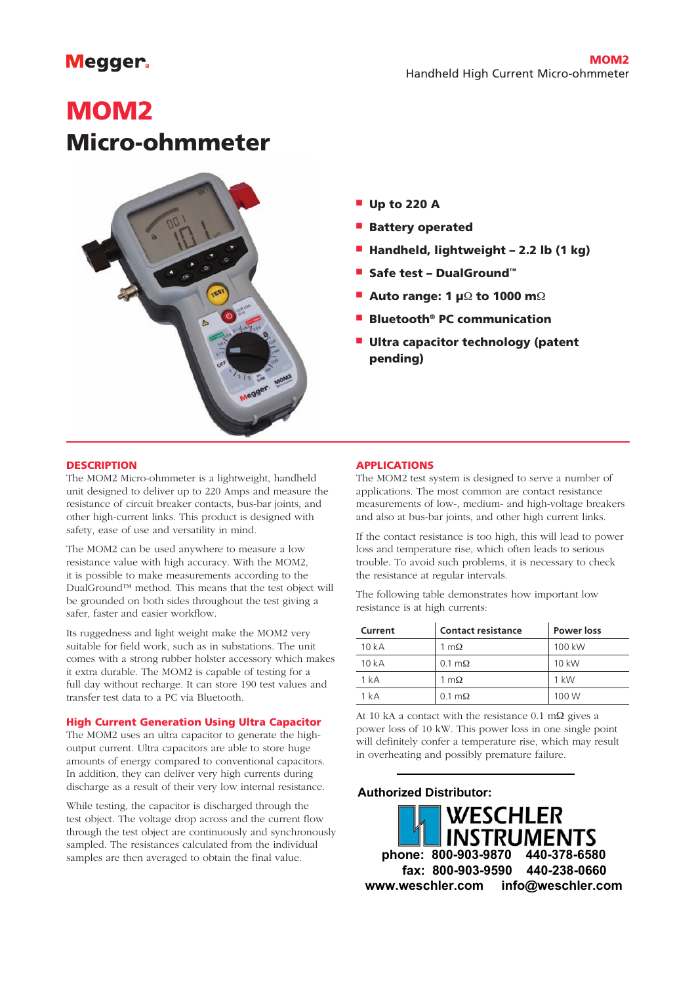# **Megger**

# MOM2 Micro-ohmmeter



- $\blacksquare$  Up to 220 A
- **Battery operated**
- Handheld, lightweight 2.2 lb (1 kg)
- Safe test DualGround™
- **n** Auto range: 1 µ $\Omega$  to 1000 m $\Omega$
- <sup>n</sup> Bluetooth® PC communication
- **Ultra capacitor technology (patent** pending)

#### **DESCRIPTION**

The MOM2 Micro-ohmmeter is a lightweight, handheld unit designed to deliver up to 220 Amps and measure the resistance of circuit breaker contacts, bus-bar joints, and other high-current links. This product is designed with safety, ease of use and versatility in mind.

The MOM2 can be used anywhere to measure a low resistance value with high accuracy. With the MOM2, it is possible to make measurements according to the DualGround™ method. This means that the test object will be grounded on both sides throughout the test giving a safer, faster and easier workflow.

Its ruggedness and light weight make the MOM2 very suitable for field work, such as in substations. The unit comes with a strong rubber holster accessory which makes it extra durable. The MOM2 is capable of testing for a full day without recharge. It can store 190 test values and transfer test data to a PC via Bluetooth.

#### High Current Generation Using Ultra Capacitor

The MOM2 uses an ultra capacitor to generate the highoutput current. Ultra capacitors are able to store huge amounts of energy compared to conventional capacitors. In addition, they can deliver very high currents during discharge as a result of their very low internal resistance.

While testing, the capacitor is discharged through the test object. The voltage drop across and the current flow through the test object are continuously and synchronously sampled. The resistances calculated from the individual samples are then averaged to obtain the final value.

#### **APPLICATIONS**

The MOM2 test system is designed to serve a number of applications. The most common are contact resistance measurements of low-, medium- and high-voltage breakers and also at bus-bar joints, and other high current links.

If the contact resistance is too high, this will lead to power loss and temperature rise, which often leads to serious trouble. To avoid such problems, it is necessary to check the resistance at regular intervals.

The following table demonstrates how important low resistance is at high currents:

| Current | <b>Contact resistance</b> | Power loss |
|---------|---------------------------|------------|
| 10kA    | 1 m $\Omega$              | 100 kW     |
| 10kA    | $0.1 \text{ m}\Omega$     | 10 kW      |
| 1 kA    | 1 m $\Omega$              | $1$ kW     |
| 1 kA    | $0.1 \text{ m}\Omega$     | 100 W      |

At 10 kA a contact with the resistance  $0.1 \text{ m}\Omega$  gives a power loss of 10 kW. This power loss in one single point will definitely confer a temperature rise, which may result in overheating and possibly premature failure.

### **Authorized Distributor:**

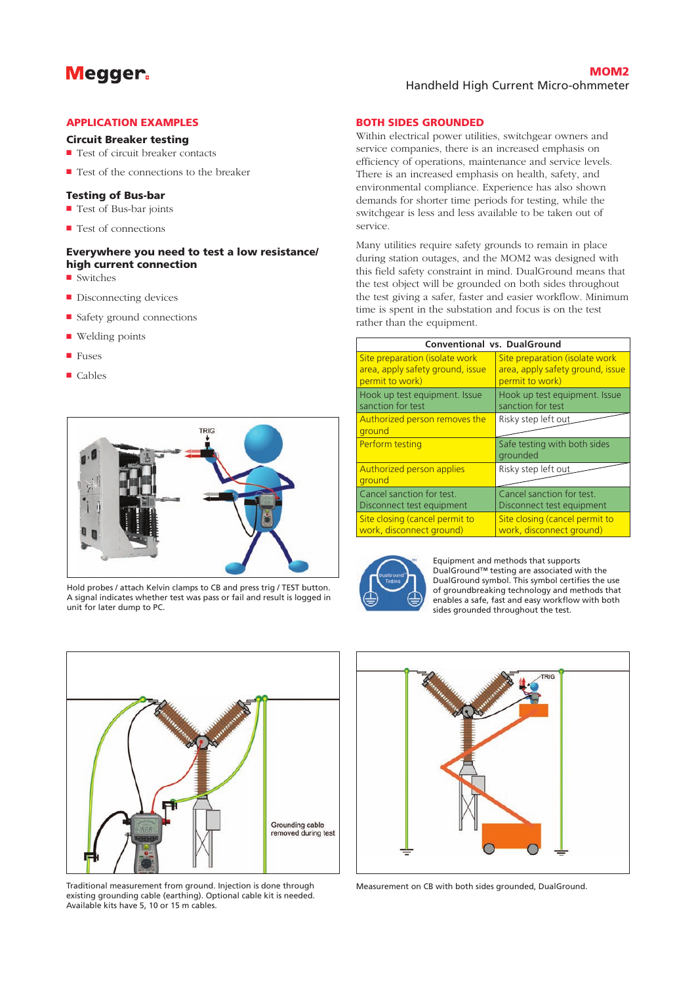## **Megger**

#### **MOM<sub>2</sub>** Handheld High Current Micro-ohmmeter

#### **APPLICATION EXAMPLES**

#### Circuit Breaker testing

- $\blacksquare$  Test of circuit breaker contacts
- $\blacksquare$  Test of the connections to the breaker

#### **Testing of Bus-bar**

- Test of Bus-bar joints
- Test of connections

#### Everywhere you need to test a low resistance/ high current connection

- $\blacksquare$  Switches
- Disconnecting devices
- $\blacksquare$  Safety ground connections
- $\blacksquare$  Welding points
- <sup>n</sup> Fuses
- Cables



Hold probes / attach Kelvin clamps to CB and press trig / TEST button. A signal indicates whether test was pass or fail and result is logged in unit for later dump to PC.

#### **BOTH SIDES GROUNDED**

Within electrical power utilities, switchgear owners and service companies, there is an increased emphasis on efficiency of operations, maintenance and service levels. There is an increased emphasis on health, safety, and environmental compliance. Experience has also shown demands for shorter time periods for testing, while the switchgear is less and less available to be taken out of service.

Many utilities require safety grounds to remain in place during station outages, and the MOM2 was designed with this field safety constraint in mind. DualGround means that the test object will be grounded on both sides throughout the test giving a safer, faster and easier workflow. Minimum time is spent in the substation and focus is on the test rather than the equipment.

| <b>Conventional vs. DualGround</b>      |                                          |  |  |
|-----------------------------------------|------------------------------------------|--|--|
| Site preparation (isolate work          | Site preparation (isolate work           |  |  |
| area, apply safety ground, issue        | area, apply safety ground, issue         |  |  |
| permit to work)                         | permit to work)                          |  |  |
| Hook up test equipment. Issue           | Hook up test equipment. Issue            |  |  |
| sanction for test                       | sanction for test                        |  |  |
| Authorized person removes the<br>ground | Risky step left out                      |  |  |
| Perform testing                         | Safe testing with both sides<br>grounded |  |  |
| Authorized person applies<br>ground     | Risky step left out                      |  |  |
| Cancel sanction for test.               | Cancel sanction for test.                |  |  |
| Disconnect test equipment               | Disconnect test equipment                |  |  |
| Site closing (cancel permit to          | Site closing (cancel permit to           |  |  |
| work, disconnect ground)                | work, disconnect ground)                 |  |  |



Equipment and methods that supports DualGround™ testing are associated with the DualGround symbol. This symbol certifies the use of groundbreaking technology and methods that enables a safe, fast and easy workflow with both sides grounded throughout the test.



Traditional measurement from ground. Injection is done through existing grounding cable (earthing). Optional cable kit is needed. Available kits have 5, 10 or 15 m cables.



Measurement on CB with both sides grounded, DualGround.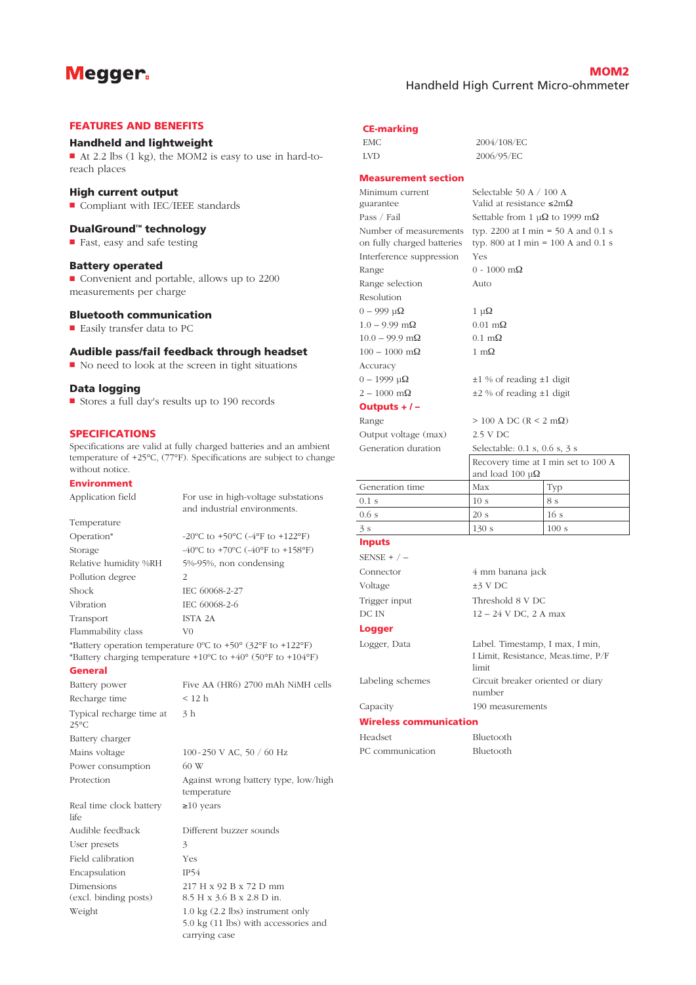### Megger.

#### MOM2 Handheld High Current Micro-ohmmeter

#### **FEATURES AND BENEFITS**

#### **Handheld and lightweight**

■ At 2.2 lbs (1 kg), the MOM2 is easy to use in hard-toreach places

#### **High current output**

■ Compliant with IEC/IEEE standards

#### DualGround<sup>™</sup> technology

■ Fast, easy and safe testing

#### Battery operated

■ Convenient and portable, allows up to 2200 measurements per charge

#### **Bluetooth communication**

 $\blacksquare$  Easily transfer data to PC

#### Audible pass/fail feedback through headset

 $\blacksquare$  No need to look at the screen in tight situations

#### Data logging

■ Stores a full day's results up to 190 records

#### **SPECIFICATIONS**

Specifications are valid at fully charged batteries and an ambient temperature of +25°C, (77°F). Specifications are subject to change without notice.

#### **Environment**

(excl. binding posts)

| Environment                                |                                                                                                                                                                        |
|--------------------------------------------|------------------------------------------------------------------------------------------------------------------------------------------------------------------------|
| Application field                          | For use in high-voltage substations<br>and industrial environments.                                                                                                    |
| Temperature                                |                                                                                                                                                                        |
| Operation*                                 | -20°C to +50°C (-4°F to +122°F)                                                                                                                                        |
| Storage                                    | -40°C to +70°C (-40°F to +158°F)                                                                                                                                       |
| Relative humidity %RH                      | 5%-95%, non condensing                                                                                                                                                 |
| Pollution degree                           | $\overline{2}$                                                                                                                                                         |
| Shock                                      | IEC 60068-2-27                                                                                                                                                         |
| Vibration                                  | IEC 60068-2-6                                                                                                                                                          |
| Transport                                  | ISTA 2A                                                                                                                                                                |
| Flammability class                         | V0                                                                                                                                                                     |
|                                            | *Battery operation temperature 0°C to +50° (32°F to +122°F)<br>*Battery charging temperature +10 $^{\circ}$ C to +40 $^{\circ}$ (50 $^{\circ}$ F to +104 $^{\circ}$ F) |
| <b>General</b>                             |                                                                                                                                                                        |
| Battery power                              | Five AA (HR6) 2700 mAh NiMH cells                                                                                                                                      |
| Recharge time                              | $<$ 12 h                                                                                                                                                               |
| Typical recharge time at<br>$25^{\circ}$ C | 3 <sub>h</sub>                                                                                                                                                         |
| Battery charger                            |                                                                                                                                                                        |
| Mains voltage                              | 100-250 V AC, 50 / 60 Hz                                                                                                                                               |
| Power consumption                          | 60 W                                                                                                                                                                   |
| Protection                                 | Against wrong battery type, low/high<br>temperature                                                                                                                    |
| Real time clock battery<br>life            | $\geq 10$ years                                                                                                                                                        |
| Audible feedback                           | Different buzzer sounds                                                                                                                                                |
| User presets                               | 3                                                                                                                                                                      |
| Field calibration                          | Yes                                                                                                                                                                    |
| Encapsulation                              | IP54                                                                                                                                                                   |
| Dimensions                                 | 217 H x 92 B x 72 D mm                                                                                                                                                 |

217 H x 92 B x 72 D mm 8.5 H x 3.6 B x 2.8 D in. Weight 1.0 kg (2.2 lbs) instrument only 5.0 kg (11 lbs) with accessories and carrying case

### **CE-marking**

| EMC. | 2004/108/EC |
|------|-------------|
| LVD. | 2006/95/EC  |

#### **Measurement section**

| Minimum current            | Selectable 50 A $/$ 100 A                      |                                     |
|----------------------------|------------------------------------------------|-------------------------------------|
| guarantee                  | Valid at resistance $\leq 2m\Omega$            |                                     |
| Pass / Fail                | Settable from 1 $\mu\Omega$ to 1999 m $\Omega$ |                                     |
| Number of measurements     | typ. 2200 at I min = 50 A and 0.1 s            |                                     |
| on fully charged batteries | typ. 800 at I min = $100$ A and 0.1 s          |                                     |
| Interference suppression   | Yes                                            |                                     |
| Range                      | $0 - 1000$ m $\Omega$                          |                                     |
| Range selection            | Auto                                           |                                     |
| Resolution                 |                                                |                                     |
| $0 - 999$ u $\Omega$       | $1 \mu\Omega$                                  |                                     |
| $1.0 - 9.99$ m $\Omega$    | $0.01 \text{ m}\Omega$                         |                                     |
| $10.0 - 99.9$ m $\Omega$   | $0.1 \text{ m}\Omega$                          |                                     |
| $100 - 1000$ m $\Omega$    | $1 \text{ m}\Omega$                            |                                     |
| Accuracy                   |                                                |                                     |
| $0 - 1999$ μΩ              | $\pm 1$ % of reading $\pm 1$ digit             |                                     |
| $2 - 1000$ m $\Omega$      | $\pm 2$ % of reading $\pm 1$ digit             |                                     |
| Outputs $+/-$              |                                                |                                     |
| Range                      | $> 100$ A DC (R < 2 m $\Omega$ )               |                                     |
| Output voltage (max)       | 2.5 V DC                                       |                                     |
| Generation duration        | Selectable: 0.1 s, 0.6 s, 3 s                  |                                     |
|                            |                                                | Recovery time at I min set to 100 A |
|                            | and load 100 $\mu\Omega$                       |                                     |
| Generation time            | Max                                            | Typ                                 |
| $0.1$ s                    | 10 <sub>s</sub>                                | 8 s                                 |
| 0.6s                       | 20 s                                           | 16s                                 |
| 3s                         | 130 s                                          | 100 s                               |
| <b>Inputs</b>              |                                                |                                     |
| SENSE + $/ -$              |                                                |                                     |
| Connector                  | 4 mm banana jack                               |                                     |
| Voltage                    | $±3$ V DC                                      |                                     |

### DC IN 12 – 24 V DC, 2 A max

logger Logger, Data Label. Timestamp, I max, I min,

#### Labeling schemes Circuit breaker oriented or diary number

Capacity 190 measurements

limit

Trigger input Threshold 8 V DC

#### Wireless communication

Headset Bluetooth PC communication Bluetooth

I Limit, Resistance, Meas.time, P/F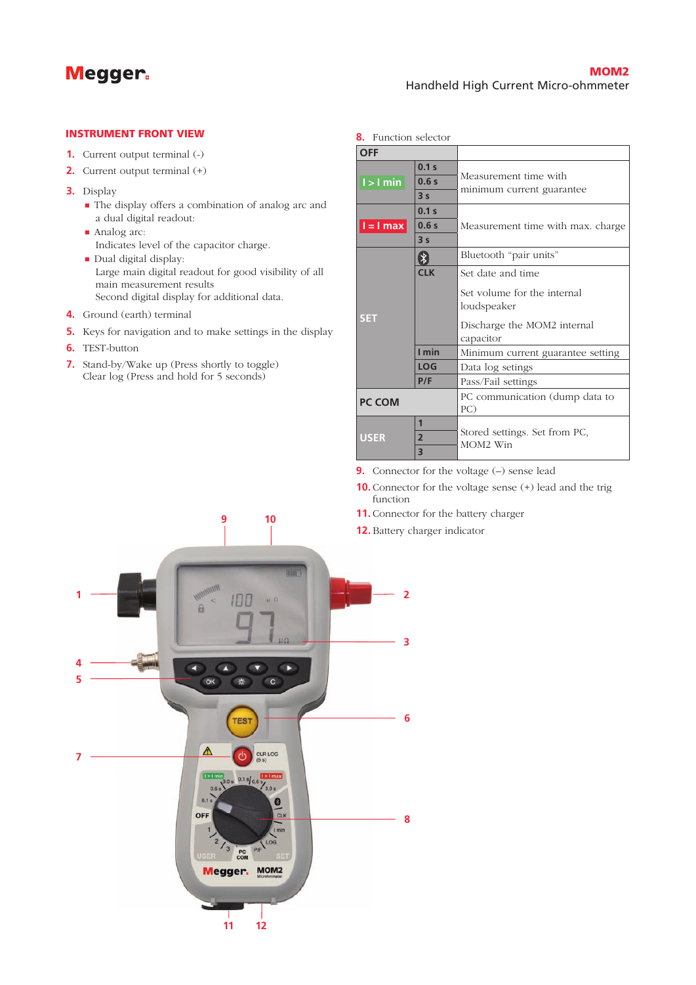

#### **INSTRUMENT FRONT VIEW**

- **1.** Current output terminal (-)
- **2.** Current output terminal (+)
- **3.** Display
	- The display offers a combination of analog arc and a dual digital readout:
	- Analog arc: Indicates level of the capacitor charge.
	- Dual digital display: Large main digital readout for good visibility of all main measurement results Second digital display for additional data.
- **4.** Ground (earth) terminal
- **5.** Keys for navigation and to make settings in the display
- **6.** TEST-button
- **7.** Stand-by/Wake up (Press shortly to toggle) Clear log (Press and hold for 5 seconds)

| <b>OFF</b>    |                                       |                                                                                                             |  |
|---------------|---------------------------------------|-------------------------------------------------------------------------------------------------------------|--|
| $l > l$ min   | 0.1 <sub>s</sub><br>0.6s<br>3s        | Measurement time with<br>minimum current guarantee                                                          |  |
| $l = l$ max   | 0.1 <sub>s</sub><br>0.6s<br>3s        | Measurement time with max. charge                                                                           |  |
|               | $\left( \mathbf{\ast}\right)$         | Bluetooth "pair units"                                                                                      |  |
| <b>SET</b>    | <b>CIK</b>                            | Set date and time<br>Set volume for the internal<br>loudspeaker<br>Discharge the MOM2 internal<br>capacitor |  |
|               | I min                                 | Minimum current guarantee setting                                                                           |  |
|               | <b>LOG</b>                            | Data log setings                                                                                            |  |
|               | P/F                                   | Pass/Fail settings                                                                                          |  |
| <b>PC COM</b> |                                       | PC communication (dump data to<br>PC)                                                                       |  |
| <b>USER</b>   | $\overline{1}$<br>$\overline{2}$<br>3 | Stored settings. Set from PC,<br>MOM2 Win                                                                   |  |

**9.** Connector for the voltage (–) sense lead

- **10.** Connector for the voltage sense (+) lead and the trig function
- **11.** Connector for the battery charger
- **12.** Battery charger indicator

**8.** Function selector



**9 10**